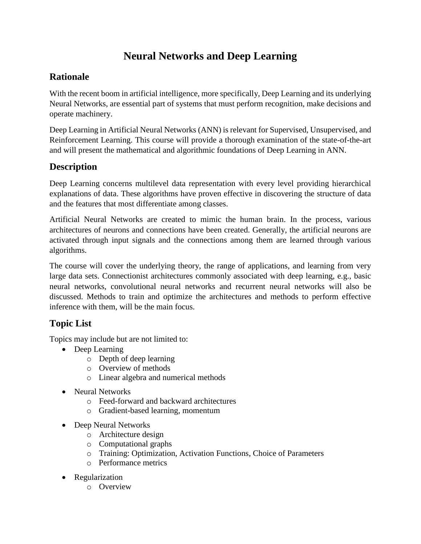# **Neural Networks and Deep Learning**

## **Rationale**

With the recent boom in artificial intelligence, more specifically, Deep Learning and its underlying Neural Networks, are essential part of systems that must perform recognition, make decisions and operate machinery.

Deep Learning in Artificial Neural Networks (ANN) is relevant for Supervised, Unsupervised, and Reinforcement Learning. This course will provide a thorough examination of the state-of-the-art and will present the mathematical and algorithmic foundations of Deep Learning in ANN.

## **Description**

Deep Learning concerns multilevel data representation with every level providing hierarchical explanations of data. These algorithms have proven effective in discovering the structure of data and the features that most differentiate among classes.

Artificial Neural Networks are created to mimic the human brain. In the process, various architectures of neurons and connections have been created. Generally, the artificial neurons are activated through input signals and the connections among them are learned through various algorithms.

The course will cover the underlying theory, the range of applications, and learning from very large data sets. Connectionist architectures commonly associated with deep learning, e.g., basic neural networks, convolutional neural networks and recurrent neural networks will also be discussed. Methods to train and optimize the architectures and methods to perform effective inference with them, will be the main focus.

## **Topic List**

Topics may include but are not limited to:

- Deep Learning
	- o Depth of deep learning
	- o Overview of methods
	- o Linear algebra and numerical methods
- Neural Networks
	- o Feed-forward and backward architectures
	- o Gradient-based learning, momentum
- Deep Neural Networks
	- o Architecture design
	- o Computational graphs
	- o Training: Optimization, Activation Functions, Choice of Parameters
	- o Performance metrics
- Regularization
	- o Overview